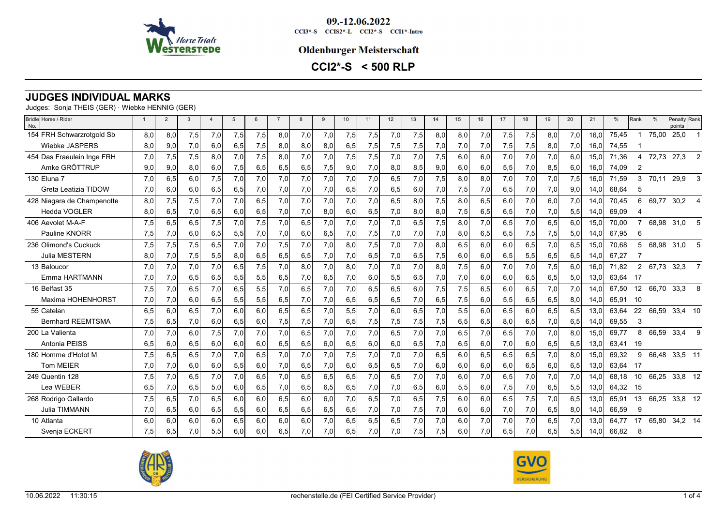

09.-12.06.2022  $CCI3*-S$   $CCI52*-L$   $CCI2*-S$   $CCI1*-Intro$ 

#### **Oldenburger Meisterschaft**

**CCI2\*-S < 500 RLP**

# **JUDGES INDIVIDUAL MARKS**

Judges: Sonja THEIS (GER) · Wiebke HENNIG (GER)

| Bridle Horse / Rider<br>No. | $\overline{1}$ | $\overline{2}$ | 3   |     | $\overline{5}$ | 6   | $\overline{7}$ | 8   | 9   | 10  | 11  | 12  | 13  | 14  | 15  | 16   | 17  | 18  | 19  | 20  | 21   | %     | Rank           | $\frac{0}{c}$ | Penalty Rank<br>points |                |
|-----------------------------|----------------|----------------|-----|-----|----------------|-----|----------------|-----|-----|-----|-----|-----|-----|-----|-----|------|-----|-----|-----|-----|------|-------|----------------|---------------|------------------------|----------------|
| 154 FRH Schwarzrotgold Sb   | 8,0            | 8,0            | 7,5 | 7,0 | 7,5            | 7,5 | 8,0            | 7,0 | 7,0 | 7,5 | 7,5 | 7,0 | 7,5 | 8,0 | 8,0 | 7,0  | 7,5 | 7,5 | 8,0 | 7,0 | 16.0 | 75,45 |                | 75,00         | 25,0                   |                |
| <b>Wiebke JASPERS</b>       | 8,0            | 9,0            | 7,0 | 6,0 | 6,5            | 7,5 | 8,0            | 8,0 | 8,0 | 6,5 | 7,5 | 7,5 | 7,5 | 7,0 | 7,0 | 7,0  | 7,5 | 7,5 | 8,0 | 7,0 | 16,0 | 74,55 |                |               |                        |                |
| 454 Das Fraeulein Inge FRH  | 7,0            | 7,5            | 7,5 | 8,0 | 7,0            | 7,5 | 8,0            | 7,0 | 7,0 | 7,5 | 7,5 | 7,0 | 7,0 | 7,5 | 6,0 | 6,0  | 7,0 | 7,0 | 7,0 | 6.0 | 15,0 | 71,36 |                | 72,73         | 27,3                   | 2              |
| Amke GRÖTTRUP               | 9,0            | 9,0            | 8,0 | 6,0 | 7,5            | 6,5 | 6,5            | 6,5 | 7,5 | 9,0 | 7,0 | 8,0 | 8,5 | 9,0 | 6,0 | 6,0  | 5,5 | 7,0 | 8,5 | 6,0 | 16.0 | 74,09 | $\overline{2}$ |               |                        |                |
| 130 Eluna 7                 | 7,0            | 6,5            | 6,0 | 7,5 | 7,0            | 7,0 | 7,0            | 7,0 | 7,0 | 7,0 | 7,0 | 6,5 | 7,0 | 7,5 | 8,0 | 8,0  | 7,0 | 7,0 | 7,0 | 7,5 | 16,0 | 71,59 | 3              | 70,11         | 29,9                   | 3              |
| Greta Leatizia TIDOW        | 7,0            | 6,0            | 6,0 | 6,5 | 6,5            | 7,0 | 7,0            | 7,0 | 7,0 | 6,5 | 7,0 | 6,5 | 6,0 | 7,0 | 7,5 | 7,0  | 6,5 | 7,0 | 7,0 | 9,0 | 14,0 | 68,64 | 5              |               |                        |                |
| 428 Niagara de Champenotte  | 8,0            | 7,5            | 7,5 | 7,0 | 7,0            | 6.5 | 7,0            | 7,0 | 7,0 | 7.0 | 7.0 | 6,5 | 8,0 | 7,5 | 8,0 | 6, 5 | 6,0 | 7,0 | 6.0 | 7,0 | 14.0 | 70,45 | 6              | 69.77         | 30,2                   | $\overline{4}$ |
| <b>Hedda VOGLER</b>         | 8,0            | 6,5            | 7,0 | 6,5 | 6,0            | 6,5 | 7,0            | 7,0 | 8,0 | 6,0 | 6,5 | 7,0 | 8,0 | 8,0 | 7,5 | 6,5  | 6,5 | 7,0 | 7,0 | 5,5 | 14,0 | 69,09 | 4              |               |                        |                |
| 406 Aevolet M-A-F           | 7,5            | 6.5            | 6,5 | 7,5 | 7,0            | 7.5 | 7.0            | 6.5 | 7.0 | 7.0 | 7.0 | 7,0 | 6,5 | 7,5 | 8,0 | 7,0  | 6,5 | 7,0 | 6.5 | 6.0 | 15.0 | 70.00 |                | 68,98         | 31,0                   | 5              |
| Pauline KNORR               | 7,5            | 7,0            | 6,0 | 6,5 | 5,5            | 7,0 | 7,0            | 6,0 | 6,5 | 7,0 | 7,5 | 7,0 | 7,0 | 7,0 | 8,0 | 6,5  | 6,5 | 7,5 | 7,5 | 5,0 | 14,0 | 67,95 | 6              |               |                        |                |
| 236 Olimond's Cuckuck       | 7,5            | 7,5            | 7,5 | 6,5 | 7,0            | 7.0 | 7,5            | 7,0 | 7,0 | 8.0 | 7,5 | 7,0 | 7,0 | 8,0 | 6,5 | 6,0  | 6,0 | 6,5 | 7,0 | 6,5 | 15.0 | 70,68 | 5              | 68,98         | 31,0                   | 5              |
| <b>Julia MESTERN</b>        | 8,0            | 7,0            | 7,5 | 5,5 | 8,0            | 6,5 | 6,5            | 6,5 | 7,0 | 7,0 | 6,5 | 7,0 | 6,5 | 7,5 | 6,0 | 6,0  | 6,5 | 5,5 | 6,5 | 6,5 | 14,0 | 67.27 |                |               |                        |                |
| 13 Baloucor                 | 7.0            | 7,0            | 7,0 | 7,0 | 6,5            | 7,5 | 7,0            | 8.0 | 7,0 | 8.0 | 7,0 | 7.0 | 7,0 | 8,0 | 7,5 | 6.0  | 7,0 | 7,0 | 7,5 | 6.0 | 16.0 | 71.82 | $\overline{2}$ | 67.73         | 32,3                   | 7              |
| Emma HARTMANN               | 7,0            | 7,0            | 6,5 | 6,5 | 5,5            | 5,5 | 6,5            | 7,0 | 6,5 | 7,0 | 6,0 | 5,5 | 6,5 | 7,0 | 7,0 | 6,0  | 6,0 | 6,5 | 6,5 | 5,0 | 13,0 | 63.64 | -17            |               |                        |                |
| 16 Belfast 35               | 7,5            | 7,0            | 6,5 | 7,0 | 6,5            | 5,5 | 7,0            | 6,5 | 7,0 | 7,0 | 6,5 | 6,5 | 6,0 | 7,5 | 7,5 | 6,5  | 6,0 | 6,5 | 7,0 | 7,0 | 14,0 | 67.50 | 12             | 66,70         | 33,3                   | 8              |
| Maxima HOHENHORST           | 7,0            | 7,0            | 6,0 | 6,5 | 5,5            | 5,5 | 6,5            | 7,0 | 7,0 | 6,5 | 6,5 | 6,5 | 7,0 | 6,5 | 7,5 | 6,0  | 5,5 | 6,5 | 6,5 | 8,0 | 14.0 | 65.91 | -10            |               |                        |                |
| 55 Catelan                  | 6.5            | 6,0            | 6,5 | 7,0 | 6,0            | 6.0 | 6,5            | 6,5 | 7,0 | 5,5 | 7,0 | 6,0 | 6,5 | 7,0 | 5,5 | 6,0  | 6,5 | 6,0 | 6,5 | 6,5 | 13,0 | 63.64 | 22             | 66,59         | 33,4 10                |                |
| <b>Bernhard REEMTSMA</b>    | 7,5            | 6,5            | 7,0 | 6,0 | 6,5            | 6,0 | 7,5            | 7,5 | 7,0 | 6,5 | 7,5 | 7,5 | 7,5 | 7,5 | 6,5 | 6,5  | 8,0 | 6,5 | 7,0 | 6,5 | 14.0 | 69.55 | 3              |               |                        |                |
| 200 La Valienta             | 7,0            | 7,0            | 6,0 | 7,5 | 7,0            | 7.0 | 7,0            | 6.5 | 7,0 | 7.0 | 7.0 | 6,5 | 7,0 | 7,0 | 6,5 | 7,0  | 6,5 | 7,0 | 7,0 | 8.0 | 15.0 | 69,77 | 8              | 66,59         | 33,4                   | 9              |
| Antonia PEISS               | 6,5            | 6,0            | 6,5 | 6,0 | 6,0            | 6,0 | 6,5            | 6,5 | 6,0 | 6,5 | 6,0 | 6,0 | 6,5 | 7,0 | 6,5 | 6,0  | 7,0 | 6,0 | 6,5 | 6,5 | 13,0 | 63.41 | 19             |               |                        |                |
| 180 Homme d'Hotot M         | 7,5            | 6.5            | 6,5 | 7.0 | 7,0            | 6.5 | 7.0            | 7.0 | 7,0 | 7.5 | 7.0 | 7,0 | 7,0 | 6,5 | 6,0 | 6,5  | 6,5 | 6,5 | 7.0 | 8.0 | 15.0 | 69,32 | 9              | 66,48         | 33,5 11                |                |
| <b>Tom MEIER</b>            | 7,0            | 7,0            | 6,0 | 6,0 | 5,5            | 6,0 | 7,0            | 6,5 | 7,0 | 6,0 | 6,5 | 6,5 | 7,0 | 6,0 | 6,0 | 6,0  | 6,0 | 6,5 | 6,0 | 6,5 | 13,0 | 63,64 | -17            |               |                        |                |
| 249 Quentin 128             | 7,5            | 7,0            | 6,5 | 7,0 | 7,0            | 6,5 | 7,0            | 6,5 | 6,5 | 6,5 | 7.0 | 6,5 | 7,0 | 7,0 | 6,0 | 7,0  | 6,5 | 7,0 | 7,0 | 7,0 | 14,0 | 68,18 | 10             | 66,25         | 33,8 12                |                |
| Lea WEBER                   | 6.5            | 7,0            | 6,5 | 5,0 | 6,0            | 6,5 | 7,0            | 6,5 | 6,5 | 6,5 | 7,0 | 7,0 | 6,5 | 6,0 | 5,5 | 6,0  | 7,5 | 7,0 | 6,5 | 5,5 | 13.0 | 64.32 | -15            |               |                        |                |
| 268 Rodrigo Gallardo        | 7,5            | 6,5            | 7,0 | 6,5 | 6,0            | 6,0 | 6,5            | 6,0 | 6,0 | 7,0 | 6,5 | 7,0 | 6,5 | 7,5 | 6,0 | 6,0  | 6,5 | 7,5 | 7,0 | 6,5 | 13,0 | 65,91 | 13             | 66,25         | 33,8 12                |                |
| <b>Julia TIMMANN</b>        | 7,0            | 6,5            | 6,0 | 6,5 | 5,5            | 6,0 | 6,5            | 6,5 | 6,5 | 6,5 | 7,0 | 7,0 | 7,5 | 7,0 | 6,0 | 6,0  | 7,0 | 7,0 | 6,5 | 8,0 | 14,0 | 66,59 | 9              |               |                        |                |
| 10 Atlanta                  | 6.0            | 6.0            | 6.0 | 6.0 | 6.5            | 6.0 | 6.0            | 6.0 | 7,0 | 6.5 | 6.5 | 6.5 | 7,0 | 7,0 | 6.0 | 7,0  | 7.0 | 7,0 | 6.5 | 7.0 | 13.0 | 64.77 | 17             | 65.80         | 34,2 14                |                |
| Svenja ECKERT               | 7,5            | 6,5            | 7,0 | 5,5 | 6,0            | 6,0 | 6,5            | 7,0 | 7,0 | 6,5 | 7,0 | 7,0 | 7,5 | 7,5 | 6,0 | 7,0  | 6,5 | 7,0 | 6,5 | 5,5 | 14,0 | 66,82 | 8              |               |                        |                |



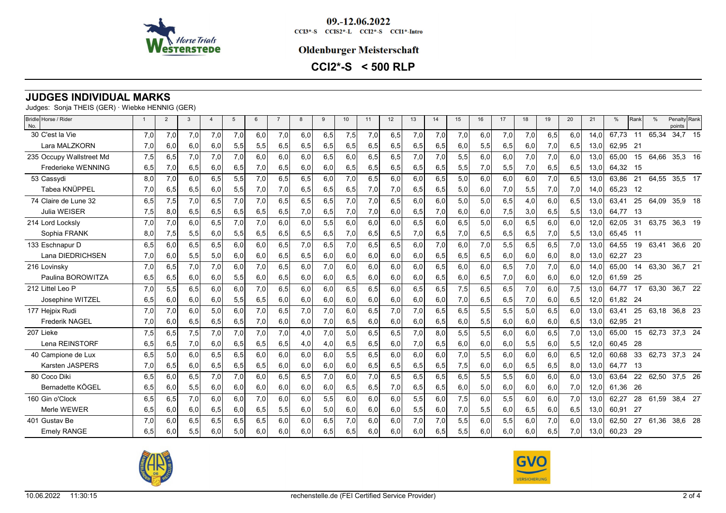

09.-12.06.2022  $CCI3*-S$   $CCI52*-L$   $CCI2*-S$   $CCI1*-Intro$ 

#### **Oldenburger Meisterschaft**

**CCI2\*-S < 500 RLP**

# **JUDGES INDIVIDUAL MARKS**

Judges: Sonja THEIS (GER) · Wiebke HENNIG (GER)

| Bridle Horse / Rider<br>No. | $\overline{1}$ | $\overline{2}$ | 3   | $\overline{\mathbf{A}}$ | $5\phantom{.0}$ | 6   | $\overline{7}$ | 8   | 9   | 10  | 11  | 12  | 13   | 14  | 15  | 16  | 17  | 18  | 19  | 20  | 21   | %        | Rank | $\frac{0}{0}$ | Penalty Rank<br>points |  |
|-----------------------------|----------------|----------------|-----|-------------------------|-----------------|-----|----------------|-----|-----|-----|-----|-----|------|-----|-----|-----|-----|-----|-----|-----|------|----------|------|---------------|------------------------|--|
| 30 C'est la Vie             | 7,0            | 7,0            | 7,0 | 7.0                     | 7,0             | 6,0 | 7,0            | 6,0 | 6,5 | 7,5 | 7,0 | 6,5 | 7,0  | 7,0 | 7,0 | 6,0 | 7,0 | 7,0 | 6,5 | 6.0 | 14.0 | 67.73    | 11   | 65,34         | 34,7 15                |  |
| Lara MALZKORN               | 7,0            | 6,0            | 6,0 | 6,0                     | 5,5             | 5,5 | 6,5            | 6,5 | 6,5 | 6,5 | 6,5 | 6,5 | 6,5  | 6,5 | 6,0 | 5,5 | 6,5 | 6,0 | 7,0 | 6,5 | 13.0 | 62,95    | 21   |               |                        |  |
| 235 Occupy Wallstreet Md    | 7,5            | 6,5            | 7,0 | 7,0                     | 7,0             | 6.0 | 6.0            | 6,0 | 6,5 | 6.0 | 6,5 | 6,5 | 7,0  | 7,0 | 5,5 | 6,0 | 6.0 | 7,0 | 7,0 | 6.0 | 13,0 | 65.00    | 15   | 64,66         | 35,3 16                |  |
| Frederieke WENNING          | 6,5            | 7,0            | 6,5 | 6,0                     | 6,5             | 7,0 | 6,5            | 6,0 | 6,0 | 6,5 | 6,5 | 6,5 | 6,5  | 6,5 | 5,5 | 7,0 | 5,5 | 7,0 | 6,5 | 6,5 | 13,0 | 64,32 15 |      |               |                        |  |
| 53 Cassydi                  | 8,0            | 7,0            | 6,0 | 6,5                     | 5,5             | 7,0 | 6,5            | 6,5 | 6,0 | 7,0 | 6,5 | 6,0 | 6,0  | 6,5 | 5,0 | 6,0 | 6,0 | 6,0 | 7,0 | 6,5 | 13,0 | 63.86    | 21   | 64,55         | 35,5 17                |  |
| Tabea KNÜPPEL               | 7,0            | 6,5            | 6,5 | 6,0                     | 5,5             | 7,0 | 7,0            | 6,5 | 6,5 | 6,5 | 7,0 | 7,0 | 6,5  | 6,5 | 5,0 | 6,0 | 7,0 | 5,5 | 7,0 | 7,0 | 14,0 | 65.23    | 12   |               |                        |  |
| 74 Claire de Lune 32        | 6,5            | 7,5            | 7.0 | 6.5                     | 7,0             | 7,0 | 6,5            | 6,5 | 6,5 | 7.0 | 7.0 | 6,5 | 6,0  | 6,0 | 5,0 | 5,0 | 6,5 | 4,0 | 6,0 | 6.5 | 13.0 | 63.41    | 25   | 64,09         | 35,9 18                |  |
| <b>Julia WEISER</b>         | 7,5            | 8,0            | 6,5 | 6,5                     | 6,5             | 6,5 | 6,5            | 7,0 | 6,5 | 7,0 | 7,0 | 6,0 | 6,5  | 7,0 | 6,0 | 6,0 | 7,5 | 3,0 | 6,5 | 5,5 | 13,0 | 64,77 13 |      |               |                        |  |
| 214 Lord Locksly            | 7,0            | 7,0            | 6.0 | 6.5                     | 7,0             | 7,0 | 6.0            | 6.0 | 5,5 | 6.0 | 6.0 | 6.0 | 6, 5 | 6,0 | 6,5 | 5,0 | 6.0 | 6,5 | 6,0 | 6.0 | 12.0 | 62.05    | 31   | 63.75         | 36,3 19                |  |
| Sophia FRANK                | 8,0            | 7,5            | 5,5 | 6,0                     | 5,5             | 6,5 | 6,5            | 6,5 | 6,5 | 7,0 | 6,5 | 6,5 | 7,0  | 6,5 | 7,0 | 6,5 | 6,5 | 6,5 | 7,0 | 5,5 | 13,0 | 65.45    | - 11 |               |                        |  |
| 133 Eschnapur D             | 6,5            | 6,0            | 6,5 | 6,5                     | 6,0             | 6,0 | 6,5            | 7,0 | 6,5 | 7,0 | 6,5 | 6,5 | 6,0  | 7,0 | 6,0 | 7,0 | 5,5 | 6,5 | 6,5 | 7,0 | 13.0 | 64,55    | 19   | 63,41         | 36,6 20                |  |
| Lana DIEDRICHSEN            | 7,0            | 6,0            | 5,5 | 5,0                     | 6,0             | 6,0 | 6,5            | 6,5 | 6,0 | 6,0 | 6,0 | 6,0 | 6,0  | 6,5 | 6,5 | 6,5 | 6,0 | 6,0 | 6,0 | 8,0 | 13,0 | 62,27    | - 23 |               |                        |  |
| 216 Lovinsky                | 7,0            | 6,5            | 7,0 | 7.0                     | 6,0             | 7,0 | 6,5            | 6.0 | 7,0 | 6.0 | 6.0 | 6,0 | 6,0  | 6,5 | 6,0 | 6,0 | 6,5 | 7,0 | 7,0 | 6.0 | 14.0 | 65,00    | 14   | 63,30 36,7 21 |                        |  |
| Paulina BOROWITZA           | 6,5            | 6,5            | 6,0 | 6,0                     | 5,5             | 6,0 | 6,5            | 6,0 | 6,0 | 6,5 | 6,0 | 6,0 | 6,0  | 6,5 | 6,0 | 6,5 | 7,0 | 6,0 | 6,0 | 6,0 | 12,0 | 61.59    | - 25 |               |                        |  |
| 212 Littel Leo P            | 7,0            | 5,5            | 6,5 | 6.0                     | 6,0             | 7,0 | 6,5            | 6,0 | 6,0 | 6,5 | 6,5 | 6,0 | 6,5  | 6,5 | 7,5 | 6,5 | 6,5 | 7,0 | 6,0 | 7,5 | 13.0 | 64.77    | 17   | 63,30         | 36,7 22                |  |
| Josephine WITZEL            | 6,5            | 6,0            | 6,0 | 6,0                     | 5,5             | 6,5 | 6,0            | 6,0 | 6,0 | 6,0 | 6,0 | 6,0 | 6,0  | 6,0 | 7,0 | 6,5 | 6,5 | 7,0 | 6,0 | 6,5 | 12,0 | 61.82 24 |      |               |                        |  |
| 177 Heipix Rudi             | 7,0            | 7,0            | 6.0 | 5.0                     | 6,0             | 7,0 | 6,5            | 7,0 | 7,0 | 6.0 | 6,5 | 7,0 | 7,0  | 6,5 | 6,5 | 5,5 | 5,5 | 5,0 | 6,5 | 6.0 | 13.0 | 63.41    | 25   | 63,18 36,8 23 |                        |  |
| <b>Frederik NAGEL</b>       | 7,0            | 6,0            | 6,5 | 6,5                     | 6,5             | 7,0 | 6,0            | 6,0 | 7,0 | 6,5 | 6,0 | 6,0 | 6,0  | 6,5 | 6,0 | 5,5 | 6,0 | 6,0 | 6,0 | 6,5 | 13,0 | 62,95    | 21   |               |                        |  |
| 207 Lieke                   | 7,5            | 6,5            | 7,5 | 7,0                     | 7,0             | 7,0 | 7,0            | 4,0 | 7,0 | 5,0 | 6,5 | 6,5 | 7,0  | 8,0 | 5,5 | 5,5 | 6,0 | 6,0 | 6,5 | 7,0 | 13,0 | 65,00    | 15   | 62,73 37,3 24 |                        |  |
| Lena REINSTORF              | 6,5            | 6,5            | 7,0 | 6,0                     | 6,5             | 6,5 | 6,5            | 4,0 | 4,0 | 6,5 | 6,5 | 6,0 | 7,0  | 6,5 | 6,0 | 6,0 | 6,0 | 5,5 | 6,0 | 5,5 | 12,0 | 60.45    | -28  |               |                        |  |
| 40 Campione de Lux          | 6,5            | 5,0            | 6.0 | 6,5                     | 6,5             | 6,0 | 6,0            | 6,0 | 6,0 | 5,5 | 6,5 | 6,0 | 6,0  | 6,0 | 7,0 | 5,5 | 6.0 | 6,0 | 6,0 | 6.5 | 12.0 | 60,68    | 33   | 62,73 37,3 24 |                        |  |
| <b>Karsten JASPERS</b>      | 7,0            | 6,5            | 6,0 | 6,5                     | 6,5             | 6,5 | 6,0            | 6,0 | 6,0 | 6,0 | 6,5 | 6,5 | 6,5  | 6,5 | 7,5 | 6,0 | 6,0 | 6,5 | 6,5 | 8,0 | 13,0 | 64.77    | - 13 |               |                        |  |
| 80 Coco Diki                | 6,5            | 6,0            | 6,5 | 7.0                     | 7,0             | 6,0 | 6,5            | 6,5 | 7,0 | 6.0 | 7,0 | 6,5 | 6,5  | 6,5 | 6,5 | 5,5 | 5,5 | 6,0 | 6.0 | 6.0 | 13.0 | 63.64    | 22   | 62,50         | 37,5 26                |  |
| Bernadette KÖGEL            | 6,5            | 6,0            | 5,5 | 6,0                     | 6,0             | 6,0 | 6,0            | 6,0 | 6,0 | 6,5 | 6,5 | 7,0 | 6,5  | 6,5 | 6,0 | 5,0 | 6,0 | 6,0 | 6,0 | 7,0 | 12,0 | 61,36    | -26  |               |                        |  |
| 160 Gin o'Clock             | 6,5            | 6,5            | 7,0 | 6.0                     | 6,0             | 7,0 | 6,0            | 6,0 | 5,5 | 6.0 | 6.0 | 6,0 | 5,5  | 6,0 | 7,5 | 6,0 | 5,5 | 6,0 | 6,0 | 7,0 | 13,0 | 62,27    | 28   | 61,59         | 38,4 27                |  |
| Merle WEWER                 | 6,5            | 6,0            | 6,0 | 6,5                     | 6,0             | 6,5 | 5,5            | 6,0 | 5,0 | 6,0 | 6,0 | 6,0 | 5,5  | 6,0 | 7,0 | 5,5 | 6,0 | 6,5 | 6,0 | 6,5 | 13.0 | 60.91    | -27  |               |                        |  |
| 401 Gustav Be               | 7,0            | 6.0            | 6,5 | 6.5                     | 6,5             | 6.5 | 6,0            | 6,0 | 6,5 | 7.0 | 6.0 | 6,0 | 7,0  | 7,0 | 5,5 | 6.0 | 5,5 | 6,0 | 7.0 | 6.0 | 13.0 | 62,50    | 27   | 61,36         | 38,6 28                |  |
| <b>Emely RANGE</b>          | 6,5            | 6,0            | 5,5 | 6.0                     | 5,0             | 6,0 | 6,0            | 6.0 | 6,5 | 6,5 | 6,0 | 6,0 | 6,0  | 6,5 | 5,5 | 6,0 | 6,0 | 6,0 | 6,5 | 7,0 | 13,0 | 60,23    | - 29 |               |                        |  |



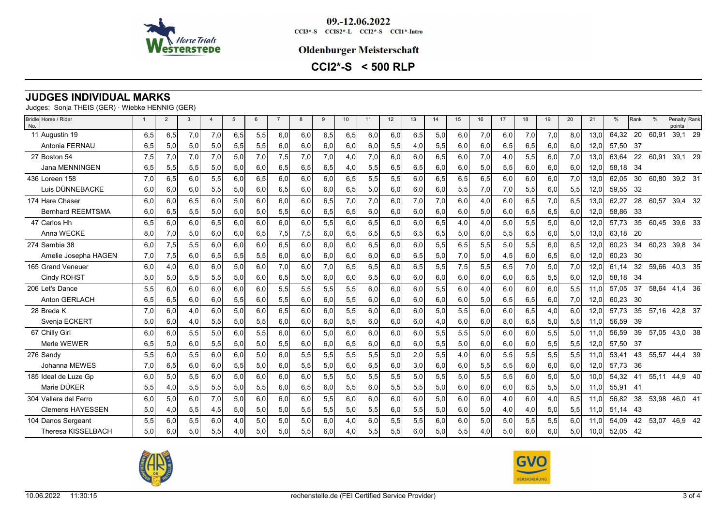

09.-12.06.2022  $CCI3*-S$   $CCI52*-L$   $CCI2*-S$   $CCI1*-Intro$ 

#### **Oldenburger Meisterschaft**

**CCI2\*-S < 500 RLP**

# **JUDGES INDIVIDUAL MARKS**

Judges: Sonja THEIS (GER) · Wiebke HENNIG (GER)

| Bridle Horse / Rider<br>No. | $\overline{1}$ | $\overline{2}$ | 3   | $\overline{4}$ | $5\phantom{.0}$ | 6   | $\overline{7}$ | 8   | 9   | 10   | 11  | 12  | 13  | 14  | 15  | 16  | 17  | 18  | 19  | 20  | 21   | %     | Rank | $\frac{0}{0}$ | Penalty Rank<br>points |  |
|-----------------------------|----------------|----------------|-----|----------------|-----------------|-----|----------------|-----|-----|------|-----|-----|-----|-----|-----|-----|-----|-----|-----|-----|------|-------|------|---------------|------------------------|--|
| 11 Augustin 19              | 6,5            | 6,5            | 7,0 | 7.0            | 6,5             | 5,5 | 6,0            | 6,0 | 6,5 | 6,5  | 6.0 | 6,0 | 6,5 | 5,0 | 6,0 | 7,0 | 6.0 | 7,0 | 7,0 | 8.0 | 13.0 | 64.32 | 20   | 60,91         | 39,1 29                |  |
| Antonia FERNAU              | 6,5            | 5,0            | 5,0 | 5,0            | 5,5             | 5,5 | 6,0            | 6,0 | 6,0 | 6,0  | 6,0 | 5,5 | 4,0 | 5,5 | 6,0 | 6,0 | 6,5 | 6,5 | 6,0 | 6,0 | 12.0 | 57.50 | - 37 |               |                        |  |
| 27 Boston 54                | 7,5            | 7,0            | 7,0 | 7,0            | 5,0             | 7,0 | 7,5            | 7,0 | 7,0 | 4,0  | 7,0 | 6,0 | 6.0 | 6,5 | 6,0 | 7,0 | 4,0 | 5,5 | 6,0 | 7,0 | 13,0 | 63.64 | 22   | 60,91         | 39,1 29                |  |
| Jana MENNINGEN              | 6,5            | 5,5            | 5,5 | 5,0            | 5,0             | 6,0 | 6,5            | 6,5 | 6,5 | 4,01 | 5,5 | 6,5 | 6,5 | 6,0 | 6,0 | 5,0 | 5,5 | 6,0 | 6,0 | 6,0 | 12,0 | 58,18 | - 34 |               |                        |  |
| 436 Loreen 158              | 7,0            | 6,5            | 6.0 | 5,5            | 6,0             | 6.5 | 6,0            | 6,0 | 6,0 | 6.5  | 5,5 | 5,5 | 6.0 | 6,5 | 6,5 | 6,5 | 6.0 | 6,0 | 6,0 | 7,0 | 13,0 | 62.05 | 30   | 60,80         | 39,2 31                |  |
| Luis DÜNNEBACKE             | 6,0            | 6,0            | 6,0 | 5,5            | 5,0             | 6,0 | 6,5            | 6,0 | 6,0 | 6,5  | 5,0 | 6,0 | 6,0 | 6,0 | 5,5 | 7,0 | 7,0 | 5,5 | 6,0 | 5,5 | 12,0 | 59,55 | - 32 |               |                        |  |
| 174 Hare Chaser             | 6,0            | 6,0            | 6,5 | 6.0            | 5,0             | 6,0 | 6,0            | 6,0 | 6,5 | 7,0  | 7,0 | 6,0 | 7,0 | 7,0 | 6,0 | 4,0 | 6,0 | 6,5 | 7,0 | 6,5 | 13,0 | 62,27 | 28   | 60,57         | 39,4 32                |  |
| <b>Bernhard REEMTSMA</b>    | 6,0            | 6,5            | 5,5 | 5,0            | 5,0             | 5,0 | 5,5            | 6,0 | 6,5 | 6,5  | 6,0 | 6,0 | 6,0 | 6,0 | 6,0 | 5,0 | 6,0 | 6,5 | 6,5 | 6,0 | 12,0 | 58,86 | - 33 |               |                        |  |
| 47 Carlos Hh                | 6,5            | 6,0            | 6,0 | 6,5            | 6,0             | 6.0 | 6,0            | 6,0 | 5,5 | 6.0  | 6,5 | 6,0 | 6,0 | 6,5 | 4,0 | 4,0 | 5,0 | 5,5 | 5,0 | 6,0 | 12,0 | 57.73 | 35   | 60,45         | 39,6 33                |  |
| Anna WECKE                  | 8,0            | 7,0            | 5,0 | 6,0            | 6,0             | 6,5 | 7,5            | 7,5 | 6,0 | 6,5  | 6,5 | 6,5 | 6,5 | 6,5 | 5,0 | 6,0 | 5,5 | 6,5 | 6,0 | 5,0 | 13,0 | 63.18 | -20  |               |                        |  |
| 274 Sambia 38               | 6.0            | 7,5            | 5,5 | 6.0            | 6,0             | 6.0 | 6,5            | 6.0 | 6,0 | 6.0  | 6,5 | 6,0 | 6,0 | 5,5 | 6,5 | 5,5 | 5,0 | 5,5 | 6,0 | 6.5 | 12.0 | 60.23 | 34   | 60,23         | 39,8 34                |  |
| Amelie Josepha HAGEN        | 7,0            | 7,5            | 6,0 | 6,5            | 5,5             | 5,5 | 6,0            | 6,0 | 6,0 | 6,0  | 6,0 | 6,0 | 6,5 | 5,0 | 7,0 | 5,0 | 4,5 | 6,0 | 6,5 | 6,0 | 12,0 | 60,23 | - 30 |               |                        |  |
| 165 Grand Veneuer           | 6.0            | 4,0            | 6,0 | 6.0            | 5,0             | 6.0 | 7,0            | 6.0 | 7,0 | 6.5  | 6,5 | 6,0 | 6,5 | 5,5 | 7,5 | 5,5 | 6,5 | 7,0 | 5,0 | 7,0 | 12.0 | 61,14 | 32   | 59,66         | 40,3 35                |  |
| Cindy ROHST                 | 5,0            | 5,0            | 5,5 | 5,5            | 5,0             | 6,0 | 6,5            | 5,0 | 6,0 | 6,0  | 6,5 | 6,0 | 6,0 | 6,0 | 6,0 | 6,0 | 6,0 | 6,5 | 5,5 | 6,0 | 12,0 | 58,18 | - 34 |               |                        |  |
| 206 Let's Dance             | 5,5            | 6,0            | 6,0 | 6.0            | 6,0             | 6,0 | 5,5            | 5,5 | 5,5 | 5,5  | 6,0 | 6,0 | 6,0 | 5,5 | 6,0 | 4,0 | 6,0 | 6,0 | 6,0 | 5,5 | 11.0 | 57,05 | 37   | 58,64         | 41,4 36                |  |
| Anton GERLACH               | 6,5            | 6,5            | 6,0 | 6,0            | 5,5             | 6,0 | 5,5            | 6,0 | 6,0 | 5,5  | 6,0 | 6,0 | 6,0 | 6,0 | 6,0 | 5,0 | 6,5 | 6,5 | 6,0 | 7,0 | 12,0 | 60.23 | - 30 |               |                        |  |
| 28 Breda K                  | 7,0            | 6,0            | 4,0 | 6.0            | 5,0             | 6,0 | 6,5            | 6,0 | 6,0 | 5,5  | 6,0 | 6,0 | 6,0 | 5,0 | 5,5 | 6,0 | 6,0 | 6,5 | 4,0 | 6.0 | 12,0 | 57.73 | 35   |               | 57,16 42,8 37          |  |
| Svenja ECKERT               | 5,0            | 6,0            | 4,0 | 5,5            | 5,0             | 5,5 | 6,0            | 6,0 | 6,0 | 5,5  | 6,0 | 6,0 | 6,0 | 4,0 | 6,0 | 6,0 | 8,0 | 6,5 | 5,0 | 5,5 | 11.0 | 56.59 | - 39 |               |                        |  |
| 67 Chilly Girl              | 6,0            | 6,0            | 5,5 | 5,0            | 6,0             | 5,5 | 6,0            | 6,0 | 5,0 | 6.0  | 6.0 | 6,0 | 6,0 | 5,5 | 5,5 | 5,0 | 6,0 | 6,0 | 5,5 | 5,0 | 11.0 | 56,59 | 39   | 57,05         | 43,0 38                |  |
| Merle WEWER                 | 6,5            | 5,0            | 6,0 | 5,5            | 5,0             | 5,0 | 5,5            | 6,0 | 6,0 | 6,5  | 6,0 | 6,0 | 6,0 | 5,5 | 5,0 | 6,0 | 6,0 | 6,0 | 5,5 | 5,5 | 12,0 | 57,50 | -37  |               |                        |  |
| 276 Sandy                   | 5,5            | 6,0            | 5,5 | 6.0            | 6,0             | 5,0 | 6,0            | 5,5 | 5,5 | 5,5  | 5,5 | 5,0 | 2,0 | 5,5 | 4,0 | 6,0 | 5,5 | 5,5 | 5,5 | 5,5 | 11.0 | 53.41 | 43   | 55,57         | 44,4 39                |  |
| Johanna MEWES               | 7,0            | 6,5            | 6,0 | 6,0            | 5,5             | 5,0 | 6,0            | 5,5 | 5,0 | 6,0  | 6,5 | 6,0 | 3,0 | 6,0 | 6,0 | 5,5 | 5,5 | 6,0 | 6,0 | 6,0 | 12,0 | 57,73 | 36   |               |                        |  |
| 185 Ideal de Luze Gp        | 6,0            | 5,0            | 5,5 | 6,0            | 5,0             | 6,0 | 6,0            | 6,0 | 5,5 | 5,0  | 5,5 | 5,5 | 5,0 | 5,5 | 5,0 | 5,5 | 5,5 | 6,0 | 5,0 | 5,0 | 10,0 | 54,32 | 41   |               | 55,11 44,9 40          |  |
| Marie DÜKER                 | 5,5            | 4,0            | 5,5 | 5,5            | 5,0             | 5,5 | 6,0            | 6,5 | 6,0 | 5,5  | 6,0 | 5,5 | 5,5 | 5,0 | 6,0 | 6,0 | 6,0 | 6,5 | 5,5 | 5,0 | 11,0 | 55,91 | -41  |               |                        |  |
| 304 Vallera del Ferro       | 6,0            | 5,0            | 6,0 | 7.0            | 5,0             | 6,0 | 6,0            | 6,0 | 5,5 | 6,0  | 6,0 | 6,0 | 6,0 | 5,0 | 6,0 | 6,0 | 4,0 | 6,0 | 4,0 | 6,5 | 11.0 | 56.82 | 38   | 53,98         | 46,0 41                |  |
| <b>Clemens HAYESSEN</b>     | 5,0            | 4,0            | 5,5 | 4,5            | 5,0             | 5,0 | 5,0            | 5,5 | 5,5 | 5,0  | 5,5 | 6,0 | 5,5 | 5,0 | 6,0 | 5,0 | 4,0 | 4,0 | 5,0 | 5,5 | 11,0 | 51,14 | - 43 |               |                        |  |
| 104 Danos Sergeant          | 5,5            | 6,0            | 5,5 | 6,0            | 4,0             | 5,0 | 5,0            | 5,0 | 6,0 | 4,0  | 6,0 | 5,5 | 5,5 | 6,0 | 6,0 | 5,0 | 5,0 | 5,5 | 5,5 | 6,0 | 11,0 | 54,09 | 42   |               | 53,07 46,9 42          |  |
| Theresa KISSELBACH          | 5.0            | 6,0            | 5,0 | 5,5            | 4,0             | 5,0 | 5,0            | 5,5 | 6,0 | 4,0  | 5,5 | 5,5 | 6,0 | 5,0 | 5,5 | 4,0 | 5,0 | 6,0 | 6,0 | 5,0 | 10,0 | 52,05 | - 42 |               |                        |  |